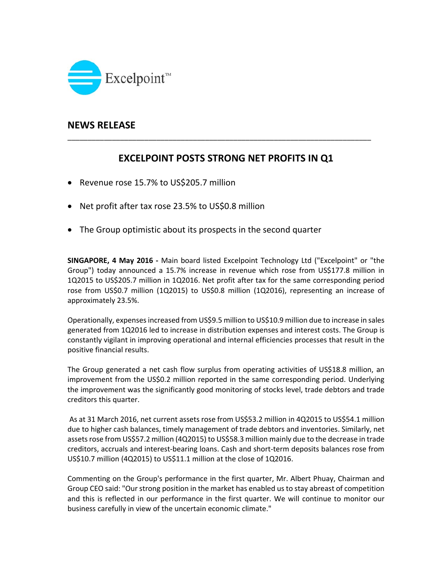

## **NEWS RELEASE**

# **EXCELPOINT POSTS STRONG NET PROFITS IN Q1**

\_\_\_\_\_\_\_\_\_\_\_\_\_\_\_\_\_\_\_\_\_\_\_\_\_\_\_\_\_\_\_\_\_\_\_\_\_\_\_\_\_\_\_\_\_\_\_\_\_\_\_\_\_\_\_\_\_\_\_\_\_\_\_\_\_\_\_\_\_\_\_\_\_\_\_

- Revenue rose 15.7% to US\$205.7 million
- Net profit after tax rose 23.5% to US\$0.8 million
- The Group optimistic about its prospects in the second quarter

**SINGAPORE, 4 May 2016 ‐** Main board listed Excelpoint Technology Ltd ("Excelpoint" or "the Group") today announced a 15.7% increase in revenue which rose from US\$177.8 million in 1Q2015 to US\$205.7 million in 1Q2016. Net profit after tax for the same corresponding period rose from US\$0.7 million (1Q2015) to US\$0.8 million (1Q2016), representing an increase of approximately 23.5%.

Operationally, expensesincreased from US\$9.5 million to US\$10.9 million due to increase in sales generated from 1Q2016 led to increase in distribution expenses and interest costs. The Group is constantly vigilant in improving operational and internal efficiencies processes that result in the positive financial results.

The Group generated a net cash flow surplus from operating activities of US\$18.8 million, an improvement from the US\$0.2 million reported in the same corresponding period. Underlying the improvement was the significantly good monitoring of stocks level, trade debtors and trade creditors this quarter.

As at 31 March 2016, net current assets rose from US\$53.2 million in 4Q2015 to US\$54.1 million due to higher cash balances, timely management of trade debtors and inventories. Similarly, net assets rose from US\$57.2 million (4Q2015) to US\$58.3 million mainly due to the decrease in trade creditors, accruals and interest‐bearing loans. Cash and short‐term deposits balances rose from US\$10.7 million (4Q2015) to US\$11.1 million at the close of 1Q2016.

Commenting on the Group's performance in the first quarter, Mr. Albert Phuay, Chairman and Group CEO said: "Our strong position in the market has enabled usto stay abreast of competition and this is reflected in our performance in the first quarter. We will continue to monitor our business carefully in view of the uncertain economic climate."